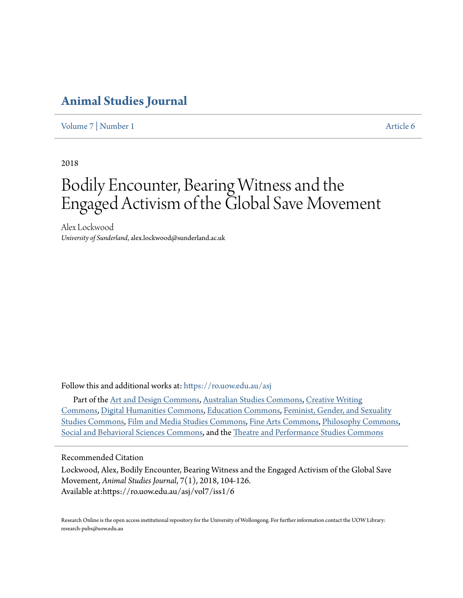## **[Animal Studies Journal](https://ro.uow.edu.au/asj?utm_source=ro.uow.edu.au%2Fasj%2Fvol7%2Fiss1%2F6&utm_medium=PDF&utm_campaign=PDFCoverPages)**

[Volume 7](https://ro.uow.edu.au/asj/vol7?utm_source=ro.uow.edu.au%2Fasj%2Fvol7%2Fiss1%2F6&utm_medium=PDF&utm_campaign=PDFCoverPages) | [Number 1](https://ro.uow.edu.au/asj/vol7/iss1?utm_source=ro.uow.edu.au%2Fasj%2Fvol7%2Fiss1%2F6&utm_medium=PDF&utm_campaign=PDFCoverPages) [Article 6](https://ro.uow.edu.au/asj/vol7/iss1/6?utm_source=ro.uow.edu.au%2Fasj%2Fvol7%2Fiss1%2F6&utm_medium=PDF&utm_campaign=PDFCoverPages)

2018

# Bodily Encounter, Bearing Witness and the Engaged Activism of the Global Save Movement

Alex Lockwood *University of Sunderland*, alex.lockwood@sunderland.ac.uk

Follow this and additional works at: [https://ro.uow.edu.au/asj](https://ro.uow.edu.au/asj?utm_source=ro.uow.edu.au%2Fasj%2Fvol7%2Fiss1%2F6&utm_medium=PDF&utm_campaign=PDFCoverPages)

Part of the [Art and Design Commons,](http://network.bepress.com/hgg/discipline/1049?utm_source=ro.uow.edu.au%2Fasj%2Fvol7%2Fiss1%2F6&utm_medium=PDF&utm_campaign=PDFCoverPages) [Australian Studies Commons,](http://network.bepress.com/hgg/discipline/1020?utm_source=ro.uow.edu.au%2Fasj%2Fvol7%2Fiss1%2F6&utm_medium=PDF&utm_campaign=PDFCoverPages) [Creative Writing](http://network.bepress.com/hgg/discipline/574?utm_source=ro.uow.edu.au%2Fasj%2Fvol7%2Fiss1%2F6&utm_medium=PDF&utm_campaign=PDFCoverPages) [Commons,](http://network.bepress.com/hgg/discipline/574?utm_source=ro.uow.edu.au%2Fasj%2Fvol7%2Fiss1%2F6&utm_medium=PDF&utm_campaign=PDFCoverPages) [Digital Humanities Commons](http://network.bepress.com/hgg/discipline/1286?utm_source=ro.uow.edu.au%2Fasj%2Fvol7%2Fiss1%2F6&utm_medium=PDF&utm_campaign=PDFCoverPages), [Education Commons](http://network.bepress.com/hgg/discipline/784?utm_source=ro.uow.edu.au%2Fasj%2Fvol7%2Fiss1%2F6&utm_medium=PDF&utm_campaign=PDFCoverPages), [Feminist, Gender, and Sexuality](http://network.bepress.com/hgg/discipline/559?utm_source=ro.uow.edu.au%2Fasj%2Fvol7%2Fiss1%2F6&utm_medium=PDF&utm_campaign=PDFCoverPages) [Studies Commons](http://network.bepress.com/hgg/discipline/559?utm_source=ro.uow.edu.au%2Fasj%2Fvol7%2Fiss1%2F6&utm_medium=PDF&utm_campaign=PDFCoverPages), [Film and Media Studies Commons](http://network.bepress.com/hgg/discipline/563?utm_source=ro.uow.edu.au%2Fasj%2Fvol7%2Fiss1%2F6&utm_medium=PDF&utm_campaign=PDFCoverPages), [Fine Arts Commons,](http://network.bepress.com/hgg/discipline/1141?utm_source=ro.uow.edu.au%2Fasj%2Fvol7%2Fiss1%2F6&utm_medium=PDF&utm_campaign=PDFCoverPages) [Philosophy Commons](http://network.bepress.com/hgg/discipline/525?utm_source=ro.uow.edu.au%2Fasj%2Fvol7%2Fiss1%2F6&utm_medium=PDF&utm_campaign=PDFCoverPages), [Social and Behavioral Sciences Commons](http://network.bepress.com/hgg/discipline/316?utm_source=ro.uow.edu.au%2Fasj%2Fvol7%2Fiss1%2F6&utm_medium=PDF&utm_campaign=PDFCoverPages), and the [Theatre and Performance Studies Commons](http://network.bepress.com/hgg/discipline/552?utm_source=ro.uow.edu.au%2Fasj%2Fvol7%2Fiss1%2F6&utm_medium=PDF&utm_campaign=PDFCoverPages)

Recommended Citation

Lockwood, Alex, Bodily Encounter, Bearing Witness and the Engaged Activism of the Global Save Movement, *Animal Studies Journal*, 7(1), 2018, 104-126. Available at:https://ro.uow.edu.au/asj/vol7/iss1/6

Research Online is the open access institutional repository for the University of Wollongong. For further information contact the UOW Library: research-pubs@uow.edu.au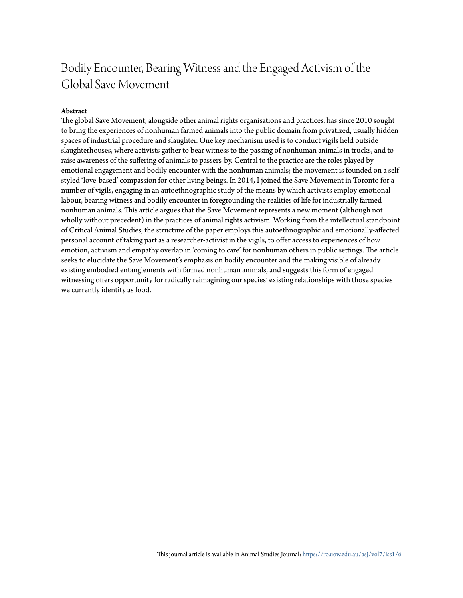## Bodily Encounter, Bearing Witness and the Engaged Activism of the Global Save Movement

#### **Abstract**

The global Save Movement, alongside other animal rights organisations and practices, has since 2010 sought to bring the experiences of nonhuman farmed animals into the public domain from privatized, usually hidden spaces of industrial procedure and slaughter. One key mechanism used is to conduct vigils held outside slaughterhouses, where activists gather to bear witness to the passing of nonhuman animals in trucks, and to raise awareness of the suffering of animals to passers-by. Central to the practice are the roles played by emotional engagement and bodily encounter with the nonhuman animals; the movement is founded on a selfstyled 'love-based' compassion for other living beings. In 2014, I joined the Save Movement in Toronto for a number of vigils, engaging in an autoethnographic study of the means by which activists employ emotional labour, bearing witness and bodily encounter in foregrounding the realities of life for industrially farmed nonhuman animals. This article argues that the Save Movement represents a new moment (although not wholly without precedent) in the practices of animal rights activism. Working from the intellectual standpoint of Critical Animal Studies, the structure of the paper employs this autoethnographic and emotionally-affected personal account of taking part as a researcher-activist in the vigils, to offer access to experiences of how emotion, activism and empathy overlap in 'coming to care' for nonhuman others in public settings. The article seeks to elucidate the Save Movement's emphasis on bodily encounter and the making visible of already existing embodied entanglements with farmed nonhuman animals, and suggests this form of engaged witnessing offers opportunity for radically reimagining our species' existing relationships with those species we currently identity as food.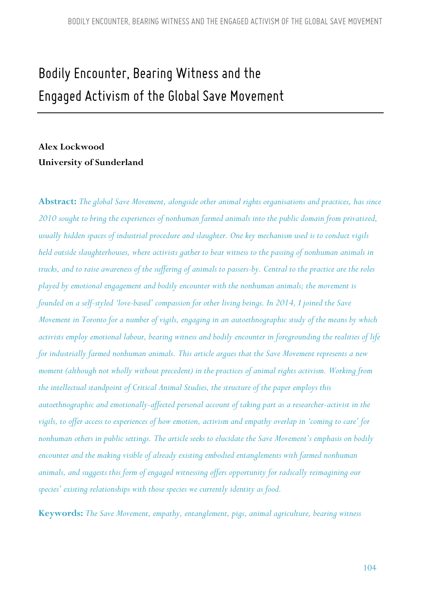# *Bodily Encounter, Bearing Witness and the Engaged Activism of the Global Save Movement*

### **Alex Lockwood University of Sunderland**

**Abstract:** *The global Save Movement, alongside other animal rights organisations and practices, has since 2010 sought to bring the experiences of nonhuman farmed animals into the public domain from privatized, usually hidden spaces of industrial procedure and slaughter. One key mechanism used is to conduct vigils held outside slaughterhouses, where activists gather to bear witness to the passing of nonhuman animals in trucks, and to raise awareness of the suffering of animals to passers-by. Central to the practice are the roles played by emotional engagement and bodily encounter with the nonhuman animals; the movement is founded on a self-styled 'love-based' compassion for other living beings. In 2014, I joined the Save Movement in Toronto for a number of vigils, engaging in an autoethnographic study of the means by which activists employ emotional labour, bearing witness and bodily encounter in foregrounding the realities of life for industrially farmed nonhuman animals. This article argues that the Save Movement represents a new moment (although not wholly without precedent) in the practices of animal rights activism. Working from the intellectual standpoint of Critical Animal Studies, the structure of the paper employs this autoethnographic and emotionally-affected personal account of taking part as a researcher-activist in the vigils, to offer access to experiences of how emotion, activism and empathy overlap in 'coming to care' for nonhuman others in public settings. The article seeks to elucidate the Save Movement's emphasis on bodily encounter and the making visible of already existing embodied entanglements with farmed nonhuman animals, and suggests this form of engaged witnessing offers opportunity for radically reimagining our species' existing relationships with those species we currently identity as food.* 

**Keywords:** *The Save Movement, empathy, entanglement, pigs, animal agriculture, bearing witness*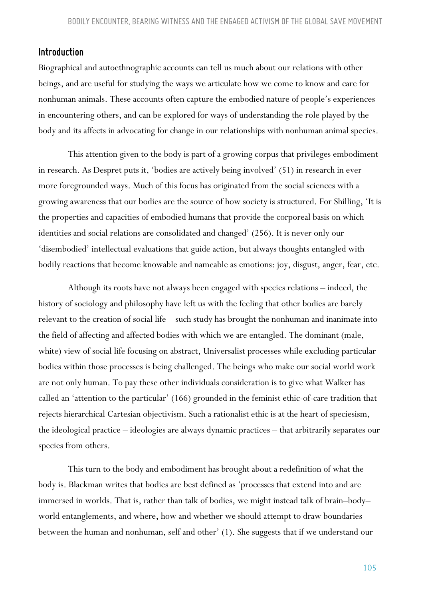#### *Introduction*

Biographical and autoethnographic accounts can tell us much about our relations with other beings, and are useful for studying the ways we articulate how we come to know and care for nonhuman animals. These accounts often capture the embodied nature of people's experiences in encountering others, and can be explored for ways of understanding the role played by the body and its affects in advocating for change in our relationships with nonhuman animal species.

This attention given to the body is part of a growing corpus that privileges embodiment in research. As Despret puts it, 'bodies are actively being involved' (51) in research in ever more foregrounded ways. Much of this focus has originated from the social sciences with a growing awareness that our bodies are the source of how society is structured. For Shilling, 'It is the properties and capacities of embodied humans that provide the corporeal basis on which identities and social relations are consolidated and changed' (256). It is never only our 'disembodied' intellectual evaluations that guide action, but always thoughts entangled with bodily reactions that become knowable and nameable as emotions: joy, disgust, anger, fear, etc.

Although its roots have not always been engaged with species relations – indeed, the history of sociology and philosophy have left us with the feeling that other bodies are barely relevant to the creation of social life – such study has brought the nonhuman and inanimate into the field of affecting and affected bodies with which we are entangled. The dominant (male, white) view of social life focusing on abstract, Universalist processes while excluding particular bodies within those processes is being challenged. The beings who make our social world work are not only human. To pay these other individuals consideration is to give what Walker has called an 'attention to the particular' (166) grounded in the feminist ethic-of-care tradition that rejects hierarchical Cartesian objectivism. Such a rationalist ethic is at the heart of speciesism, the ideological practice – ideologies are always dynamic practices – that arbitrarily separates our species from others.

This turn to the body and embodiment has brought about a redefinition of what the body is. Blackman writes that bodies are best defined as 'processes that extend into and are immersed in worlds. That is, rather than talk of bodies, we might instead talk of brain–body– world entanglements, and where, how and whether we should attempt to draw boundaries between the human and nonhuman, self and other' (1). She suggests that if we understand our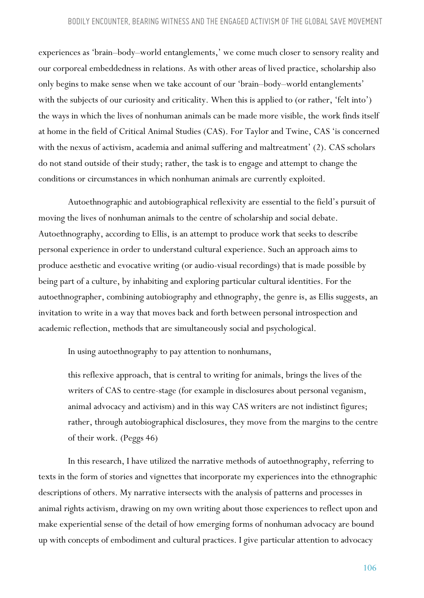experiences as 'brain–body–world entanglements,' we come much closer to sensory reality and our corporeal embeddedness in relations. As with other areas of lived practice, scholarship also only begins to make sense when we take account of our 'brain–body–world entanglements' with the subjects of our curiosity and criticality. When this is applied to (or rather, 'felt into') the ways in which the lives of nonhuman animals can be made more visible, the work finds itself at home in the field of Critical Animal Studies (CAS). For Taylor and Twine, CAS 'is concerned with the nexus of activism, academia and animal suffering and maltreatment' (2). CAS scholars do not stand outside of their study; rather, the task is to engage and attempt to change the conditions or circumstances in which nonhuman animals are currently exploited.

Autoethnographic and autobiographical reflexivity are essential to the field's pursuit of moving the lives of nonhuman animals to the centre of scholarship and social debate. Autoethnography, according to Ellis, is an attempt to produce work that seeks to describe personal experience in order to understand cultural experience. Such an approach aims to produce aesthetic and evocative writing (or audio-visual recordings) that is made possible by being part of a culture, by inhabiting and exploring particular cultural identities. For the autoethnographer, combining autobiography and ethnography, the genre is, as Ellis suggests, an invitation to write in a way that moves back and forth between personal introspection and academic reflection, methods that are simultaneously social and psychological.

In using autoethnography to pay attention to nonhumans,

this reflexive approach, that is central to writing for animals, brings the lives of the writers of CAS to centre-stage (for example in disclosures about personal veganism, animal advocacy and activism) and in this way CAS writers are not indistinct figures; rather, through autobiographical disclosures, they move from the margins to the centre of their work. (Peggs 46)

In this research, I have utilized the narrative methods of autoethnography, referring to texts in the form of stories and vignettes that incorporate my experiences into the ethnographic descriptions of others. My narrative intersects with the analysis of patterns and processes in animal rights activism, drawing on my own writing about those experiences to reflect upon and make experiential sense of the detail of how emerging forms of nonhuman advocacy are bound up with concepts of embodiment and cultural practices. I give particular attention to advocacy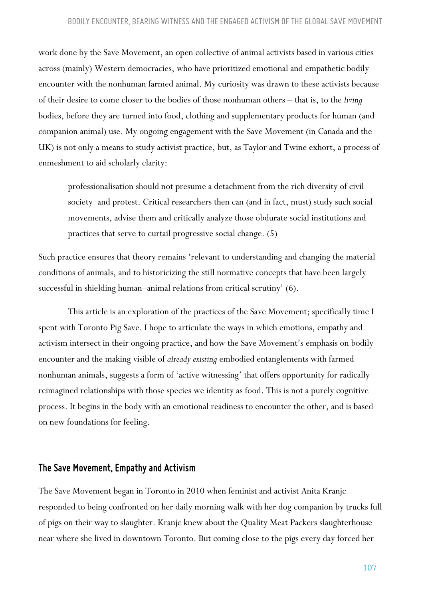#### *BODILY ENCOUNTER, BEARING WITNESS AND THE ENGAGED ACTIVISM OF THE GLOBAL SAVE MOVEMENT*

work done by the Save Movement, an open collective of animal activists based in various cities across (mainly) Western democracies, who have prioritized emotional and empathetic bodily encounter with the nonhuman farmed animal. My curiosity was drawn to these activists because of their desire to come closer to the bodies of those nonhuman others – that is, to the *living*  bodies, before they are turned into food, clothing and supplementary products for human (and companion animal) use. My ongoing engagement with the Save Movement (in Canada and the UK) is not only a means to study activist practice, but, as Taylor and Twine exhort, a process of enmeshment to aid scholarly clarity:

professionalisation should not presume a detachment from the rich diversity of civil society and protest. Critical researchers then can (and in fact, must) study such social movements, advise them and critically analyze those obdurate social institutions and practices that serve to curtail progressive social change. (5)

Such practice ensures that theory remains 'relevant to understanding and changing the material conditions of animals, and to historicizing the still normative concepts that have been largely successful in shielding human–animal relations from critical scrutiny' (6).

This article is an exploration of the practices of the Save Movement; specifically time I spent with Toronto Pig Save. I hope to articulate the ways in which emotions, empathy and activism intersect in their ongoing practice, and how the Save Movement's emphasis on bodily encounter and the making visible of *already existing* embodied entanglements with farmed nonhuman animals, suggests a form of 'active witnessing' that offers opportunity for radically reimagined relationships with those species we identity as food. This is not a purely cognitive process. It begins in the body with an emotional readiness to encounter the other, and is based on new foundations for feeling.

#### *The Save Movement, Empathy and Activism*

The Save Movement began in Toronto in 2010 when feminist and activist Anita Kranjc responded to being confronted on her daily morning walk with her dog companion by trucks full of pigs on their way to slaughter. Kranjc knew about the Quality Meat Packers slaughterhouse near where she lived in downtown Toronto. But coming close to the pigs every day forced her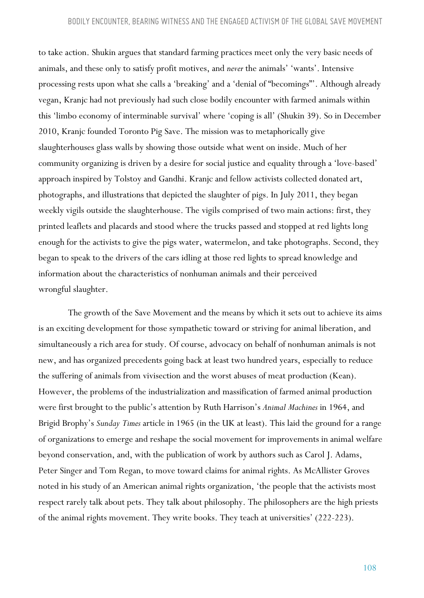to take action. Shukin argues that standard farming practices meet only the very basic needs of animals, and these only to satisfy profit motives, and *never* the animals' 'wants'. Intensive processing rests upon what she calls a 'breaking' and a 'denial of "becomings"'. Although already vegan, Kranjc had not previously had such close bodily encounter with farmed animals within this 'limbo economy of interminable survival' where 'coping is all' (Shukin 39). So in December 2010, Kranjc founded Toronto Pig Save. The mission was to metaphorically give slaughterhouses glass walls by showing those outside what went on inside. Much of her community organizing is driven by a desire for social justice and equality through a 'love-based' approach inspired by Tolstoy and Gandhi. Kranjc and fellow activists collected donated art, photographs, and illustrations that depicted the slaughter of pigs. In July 2011, they began weekly vigils outside the slaughterhouse. The vigils comprised of two main actions: first, they printed leaflets and placards and stood where the trucks passed and stopped at red lights long enough for the activists to give the pigs water, watermelon, and take photographs. Second, they began to speak to the drivers of the cars idling at those red lights to spread knowledge and information about the characteristics of nonhuman animals and their perceived wrongful slaughter.

The growth of the Save Movement and the means by which it sets out to achieve its aims is an exciting development for those sympathetic toward or striving for animal liberation, and simultaneously a rich area for study. Of course, advocacy on behalf of nonhuman animals is not new, and has organized precedents going back at least two hundred years, especially to reduce the suffering of animals from vivisection and the worst abuses of meat production (Kean). However, the problems of the industrialization and massification of farmed animal production were first brought to the public's attention by Ruth Harrison's *Animal Machines* in 1964, and Brigid Brophy's *Sunday Times* article in 1965 (in the UK at least). This laid the ground for a range of organizations to emerge and reshape the social movement for improvements in animal welfare beyond conservation, and, with the publication of work by authors such as Carol J. Adams, Peter Singer and Tom Regan, to move toward claims for animal rights. As McAllister Groves noted in his study of an American animal rights organization, 'the people that the activists most respect rarely talk about pets. They talk about philosophy. The philosophers are the high priests of the animal rights movement. They write books. They teach at universities' (222-223).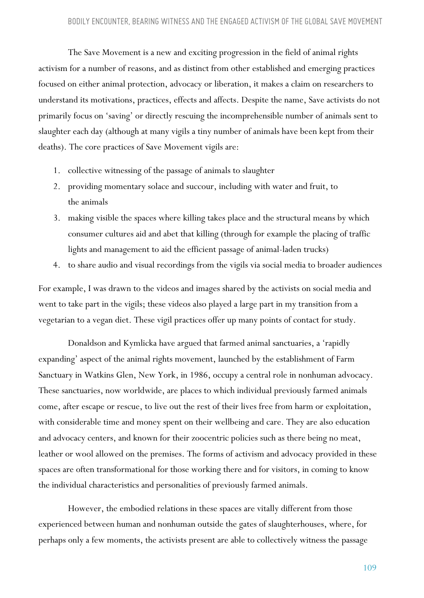The Save Movement is a new and exciting progression in the field of animal rights activism for a number of reasons, and as distinct from other established and emerging practices focused on either animal protection, advocacy or liberation, it makes a claim on researchers to understand its motivations, practices, effects and affects. Despite the name, Save activists do not primarily focus on 'saving' or directly rescuing the incomprehensible number of animals sent to slaughter each day (although at many vigils a tiny number of animals have been kept from their deaths). The core practices of Save Movement vigils are:

- 1. collective witnessing of the passage of animals to slaughter
- 2. providing momentary solace and succour, including with water and fruit, to the animals
- 3. making visible the spaces where killing takes place and the structural means by which consumer cultures aid and abet that killing (through for example the placing of traffic lights and management to aid the efficient passage of animal-laden trucks)
- 4. to share audio and visual recordings from the vigils via social media to broader audiences

For example, I was drawn to the videos and images shared by the activists on social media and went to take part in the vigils; these videos also played a large part in my transition from a vegetarian to a vegan diet. These vigil practices offer up many points of contact for study.

Donaldson and Kymlicka have argued that farmed animal sanctuaries, a 'rapidly expanding' aspect of the animal rights movement, launched by the establishment of Farm Sanctuary in Watkins Glen, New York, in 1986, occupy a central role in nonhuman advocacy. These sanctuaries, now worldwide, are places to which individual previously farmed animals come, after escape or rescue, to live out the rest of their lives free from harm or exploitation, with considerable time and money spent on their wellbeing and care. They are also education and advocacy centers, and known for their zoocentric policies such as there being no meat, leather or wool allowed on the premises. The forms of activism and advocacy provided in these spaces are often transformational for those working there and for visitors, in coming to know the individual characteristics and personalities of previously farmed animals.

However, the embodied relations in these spaces are vitally different from those experienced between human and nonhuman outside the gates of slaughterhouses, where, for perhaps only a few moments, the activists present are able to collectively witness the passage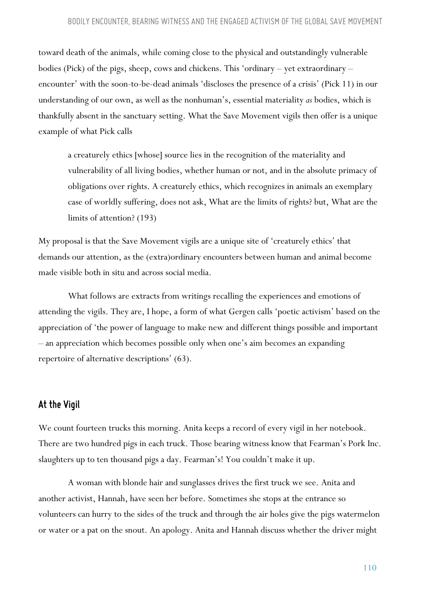toward death of the animals, while coming close to the physical and outstandingly vulnerable bodies (Pick) of the pigs, sheep, cows and chickens. This 'ordinary – yet extraordinary – encounter' with the soon-to-be-dead animals 'discloses the presence of a crisis' (Pick 11) in our understanding of our own, as well as the nonhuman's, essential materiality *as* bodies, which is thankfully absent in the sanctuary setting. What the Save Movement vigils then offer is a unique example of what Pick calls

a creaturely ethics [whose] source lies in the recognition of the materiality and vulnerability of all living bodies, whether human or not, and in the absolute primacy of obligations over rights. A creaturely ethics, which recognizes in animals an exemplary case of worldly suffering, does not ask, What are the limits of rights? but, What are the limits of attention? (193)

My proposal is that the Save Movement vigils are a unique site of 'creaturely ethics' that demands our attention, as the (extra)ordinary encounters between human and animal become made visible both in situ and across social media.

What follows are extracts from writings recalling the experiences and emotions of attending the vigils. They are, I hope, a form of what Gergen calls 'poetic activism' based on the appreciation of 'the power of language to make new and different things possible and important – an appreciation which becomes possible only when one's aim becomes an expanding repertoire of alternative descriptions' (63).

#### *At the Vigil*

We count fourteen trucks this morning. Anita keeps a record of every vigil in her notebook. There are two hundred pigs in each truck. Those bearing witness know that Fearman's Pork Inc. slaughters up to ten thousand pigs a day. Fearman's! You couldn't make it up.

A woman with blonde hair and sunglasses drives the first truck we see. Anita and another activist, Hannah, have seen her before. Sometimes she stops at the entrance so volunteers can hurry to the sides of the truck and through the air holes give the pigs watermelon or water or a pat on the snout. An apology. Anita and Hannah discuss whether the driver might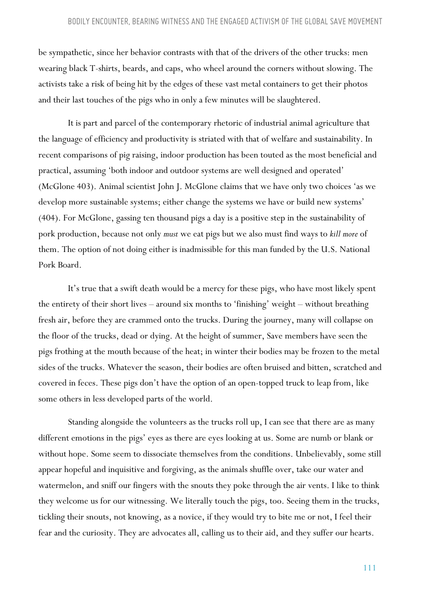be sympathetic, since her behavior contrasts with that of the drivers of the other trucks: men wearing black T-shirts, beards, and caps, who wheel around the corners without slowing. The activists take a risk of being hit by the edges of these vast metal containers to get their photos and their last touches of the pigs who in only a few minutes will be slaughtered.

It is part and parcel of the contemporary rhetoric of industrial animal agriculture that the language of efficiency and productivity is striated with that of welfare and sustainability. In recent comparisons of pig raising, indoor production has been touted as the most beneficial and practical, assuming 'both indoor and outdoor systems are well designed and operated' (McGlone 403). Animal scientist John J. McGlone claims that we have only two choices 'as we develop more sustainable systems; either change the systems we have or build new systems' (404). For McGlone, gassing ten thousand pigs a day is a positive step in the sustainability of pork production, because not only *must* we eat pigs but we also must find ways to *kill more* of them. The option of not doing either is inadmissible for this man funded by the U.S. National Pork Board.

It's true that a swift death would be a mercy for these pigs, who have most likely spent the entirety of their short lives – around six months to 'finishing' weight – without breathing fresh air, before they are crammed onto the trucks. During the journey, many will collapse on the floor of the trucks, dead or dying. At the height of summer, Save members have seen the pigs frothing at the mouth because of the heat; in winter their bodies may be frozen to the metal sides of the trucks. Whatever the season, their bodies are often bruised and bitten, scratched and covered in feces. These pigs don't have the option of an open-topped truck to leap from, like some others in less developed parts of the world.

Standing alongside the volunteers as the trucks roll up, I can see that there are as many different emotions in the pigs' eyes as there are eyes looking at us. Some are numb or blank or without hope. Some seem to dissociate themselves from the conditions. Unbelievably, some still appear hopeful and inquisitive and forgiving, as the animals shuffle over, take our water and watermelon, and sniff our fingers with the snouts they poke through the air vents. I like to think they welcome us for our witnessing. We literally touch the pigs, too. Seeing them in the trucks, tickling their snouts, not knowing, as a novice, if they would try to bite me or not, I feel their fear and the curiosity. They are advocates all, calling us to their aid, and they suffer our hearts.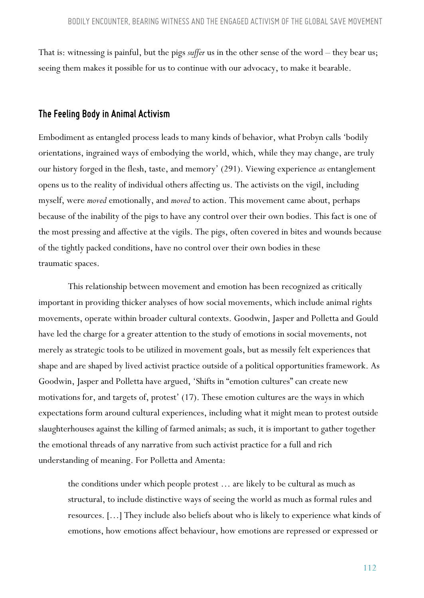That is: witnessing is painful, but the pigs *suffer* us in the other sense of the word – they bear us; seeing them makes it possible for us to continue with our advocacy, to make it bearable.

#### *The Feeling Body in Animal Activism*

Embodiment as entangled process leads to many kinds of behavior, what Probyn calls 'bodily orientations, ingrained ways of embodying the world, which, while they may change, are truly our history forged in the flesh, taste, and memory' (291). Viewing experience *as* entanglement opens us to the reality of individual others affecting us. The activists on the vigil, including myself, were *moved* emotionally, and *moved* to action. This movement came about, perhaps because of the inability of the pigs to have any control over their own bodies. This fact is one of the most pressing and affective at the vigils. The pigs, often covered in bites and wounds because of the tightly packed conditions, have no control over their own bodies in these traumatic spaces.

This relationship between movement and emotion has been recognized as critically important in providing thicker analyses of how social movements, which include animal rights movements, operate within broader cultural contexts. Goodwin, Jasper and Polletta and Gould have led the charge for a greater attention to the study of emotions in social movements, not merely as strategic tools to be utilized in movement goals, but as messily felt experiences that shape and are shaped by lived activist practice outside of a political opportunities framework. As Goodwin, Jasper and Polletta have argued, 'Shifts in "emotion cultures" can create new motivations for, and targets of, protest' (17). These emotion cultures are the ways in which expectations form around cultural experiences, including what it might mean to protest outside slaughterhouses against the killing of farmed animals; as such, it is important to gather together the emotional threads of any narrative from such activist practice for a full and rich understanding of meaning. For Polletta and Amenta:

the conditions under which people protest … are likely to be cultural as much as structural, to include distinctive ways of seeing the world as much as formal rules and resources. […] They include also beliefs about who is likely to experience what kinds of emotions, how emotions affect behaviour, how emotions are repressed or expressed or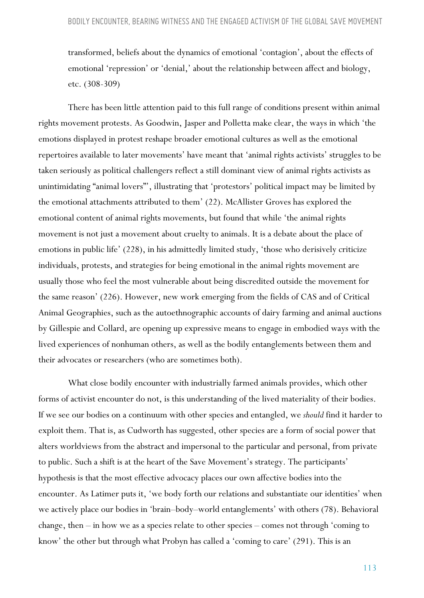transformed, beliefs about the dynamics of emotional 'contagion', about the effects of emotional 'repression' or 'denial,' about the relationship between affect and biology, etc. (308-309)

There has been little attention paid to this full range of conditions present within animal rights movement protests. As Goodwin, Jasper and Polletta make clear, the ways in which 'the emotions displayed in protest reshape broader emotional cultures as well as the emotional repertoires available to later movements' have meant that 'animal rights activists' struggles to be taken seriously as political challengers reflect a still dominant view of animal rights activists as unintimidating "animal lovers"', illustrating that 'protestors' political impact may be limited by the emotional attachments attributed to them' (22). McAllister Groves has explored the emotional content of animal rights movements, but found that while 'the animal rights movement is not just a movement about cruelty to animals. It is a debate about the place of emotions in public life' (228), in his admittedly limited study, 'those who derisively criticize individuals, protests, and strategies for being emotional in the animal rights movement are usually those who feel the most vulnerable about being discredited outside the movement for the same reason' (226). However, new work emerging from the fields of CAS and of Critical Animal Geographies, such as the autoethnographic accounts of dairy farming and animal auctions by Gillespie and Collard, are opening up expressive means to engage in embodied ways with the lived experiences of nonhuman others, as well as the bodily entanglements between them and their advocates or researchers (who are sometimes both).

What close bodily encounter with industrially farmed animals provides, which other forms of activist encounter do not, is this understanding of the lived materiality of their bodies. If we see our bodies on a continuum with other species and entangled, we *should* find it harder to exploit them. That is, as Cudworth has suggested, other species are a form of social power that alters worldviews from the abstract and impersonal to the particular and personal, from private to public. Such a shift is at the heart of the Save Movement's strategy. The participants' hypothesis is that the most effective advocacy places our own affective bodies into the encounter. As Latimer puts it, 'we body forth our relations and substantiate our identities' when we actively place our bodies in 'brain–body–world entanglements' with others (78). Behavioral change, then – in how we as a species relate to other species – comes not through 'coming to know' the other but through what Probyn has called a 'coming to care' (291). This is an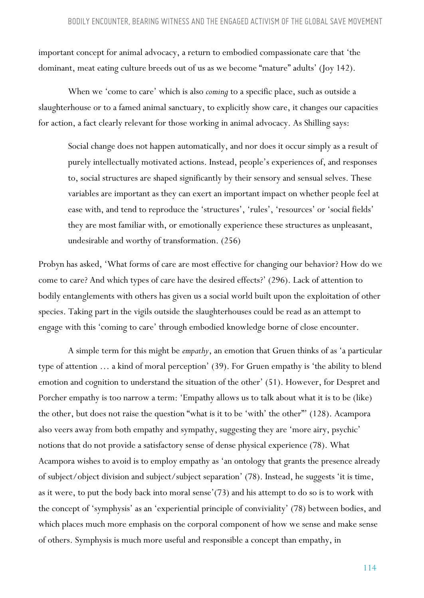important concept for animal advocacy, a return to embodied compassionate care that 'the dominant, meat eating culture breeds out of us as we become "mature" adults' (Joy 142).

When we 'come to care' which is also *coming* to a specific place, such as outside a slaughterhouse or to a famed animal sanctuary, to explicitly show care, it changes our capacities for action, a fact clearly relevant for those working in animal advocacy. As Shilling says:

Social change does not happen automatically, and nor does it occur simply as a result of purely intellectually motivated actions. Instead, people's experiences of, and responses to, social structures are shaped significantly by their sensory and sensual selves. These variables are important as they can exert an important impact on whether people feel at ease with, and tend to reproduce the 'structures', 'rules', 'resources' or 'social fields' they are most familiar with, or emotionally experience these structures as unpleasant, undesirable and worthy of transformation. (256)

Probyn has asked, 'What forms of care are most effective for changing our behavior? How do we come to care? And which types of care have the desired effects?' (296). Lack of attention to bodily entanglements with others has given us a social world built upon the exploitation of other species. Taking part in the vigils outside the slaughterhouses could be read as an attempt to engage with this 'coming to care' through embodied knowledge borne of close encounter.

A simple term for this might be *empathy*, an emotion that Gruen thinks of as 'a particular type of attention … a kind of moral perception' (39). For Gruen empathy is 'the ability to blend emotion and cognition to understand the situation of the other' (51). However, for Despret and Porcher empathy is too narrow a term: 'Empathy allows us to talk about what it is to be (like) the other, but does not raise the question "what is it to be 'with' the other"' (128). Acampora also veers away from both empathy and sympathy, suggesting they are 'more airy, psychic' notions that do not provide a satisfactory sense of dense physical experience (78). What Acampora wishes to avoid is to employ empathy as 'an ontology that grants the presence already of subject/object division and subject/subject separation' (78). Instead, he suggests 'it is time, as it were, to put the body back into moral sense'(73) and his attempt to do so is to work with the concept of 'symphysis' as an 'experiential principle of conviviality' (78) between bodies, and which places much more emphasis on the corporal component of how we sense and make sense of others. Symphysis is much more useful and responsible a concept than empathy, in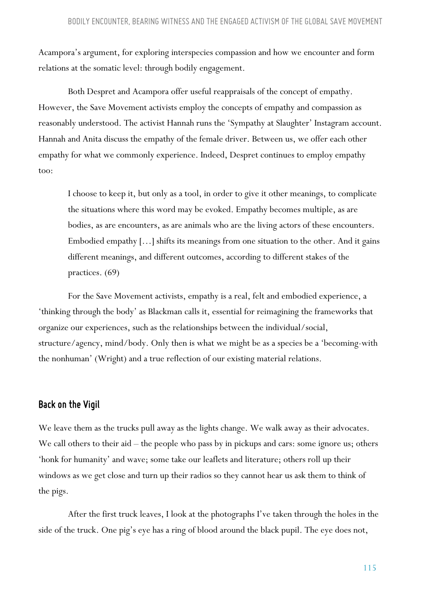Acampora's argument, for exploring interspecies compassion and how we encounter and form relations at the somatic level: through bodily engagement.

Both Despret and Acampora offer useful reappraisals of the concept of empathy. However, the Save Movement activists employ the concepts of empathy and compassion as reasonably understood. The activist Hannah runs the 'Sympathy at Slaughter' Instagram account. Hannah and Anita discuss the empathy of the female driver. Between us, we offer each other empathy for what we commonly experience. Indeed, Despret continues to employ empathy too:

I choose to keep it, but only as a tool, in order to give it other meanings, to complicate the situations where this word may be evoked. Empathy becomes multiple, as are bodies, as are encounters, as are animals who are the living actors of these encounters. Embodied empathy […] shifts its meanings from one situation to the other. And it gains different meanings, and different outcomes, according to different stakes of the practices. (69)

For the Save Movement activists, empathy is a real, felt and embodied experience, a 'thinking through the body' as Blackman calls it, essential for reimagining the frameworks that organize our experiences, such as the relationships between the individual/social, structure/agency, mind/body. Only then is what we might be as a species be a 'becoming-with the nonhuman' (Wright) and a true reflection of our existing material relations.

#### **Back** on the Vigil

We leave them as the trucks pull away as the lights change. We walk away as their advocates. We call others to their aid – the people who pass by in pickups and cars: some ignore us; others 'honk for humanity' and wave; some take our leaflets and literature; others roll up their windows as we get close and turn up their radios so they cannot hear us ask them to think of the pigs.

After the first truck leaves, I look at the photographs I've taken through the holes in the side of the truck. One pig's eye has a ring of blood around the black pupil. The eye does not,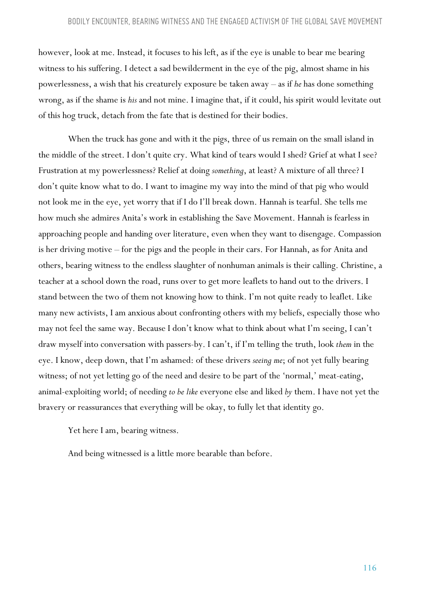however, look at me. Instead, it focuses to his left, as if the eye is unable to bear me bearing witness to his suffering. I detect a sad bewilderment in the eye of the pig, almost shame in his powerlessness, a wish that his creaturely exposure be taken away – as if *he* has done something wrong, as if the shame is *his* and not mine. I imagine that, if it could, his spirit would levitate out of this hog truck, detach from the fate that is destined for their bodies.

When the truck has gone and with it the pigs, three of us remain on the small island in the middle of the street. I don't quite cry. What kind of tears would I shed? Grief at what I see? Frustration at my powerlessness? Relief at doing *something*, at least? A mixture of all three? I don't quite know what to do. I want to imagine my way into the mind of that pig who would not look me in the eye, yet worry that if I do I'll break down. Hannah is tearful. She tells me how much she admires Anita's work in establishing the Save Movement. Hannah is fearless in approaching people and handing over literature, even when they want to disengage. Compassion is her driving motive – for the pigs and the people in their cars. For Hannah, as for Anita and others, bearing witness to the endless slaughter of nonhuman animals is their calling. Christine, a teacher at a school down the road, runs over to get more leaflets to hand out to the drivers. I stand between the two of them not knowing how to think. I'm not quite ready to leaflet. Like many new activists, I am anxious about confronting others with my beliefs, especially those who may not feel the same way. Because I don't know what to think about what I'm seeing, I can't draw myself into conversation with passers-by. I can't, if I'm telling the truth, look *them* in the eye. I know, deep down, that I'm ashamed: of these drivers *seeing me*; of not yet fully bearing witness; of not yet letting go of the need and desire to be part of the 'normal,' meat-eating, animal-exploiting world; of needing *to be like* everyone else and liked *by* them. I have not yet the bravery or reassurances that everything will be okay, to fully let that identity go.

Yet here I am, bearing witness.

And being witnessed is a little more bearable than before.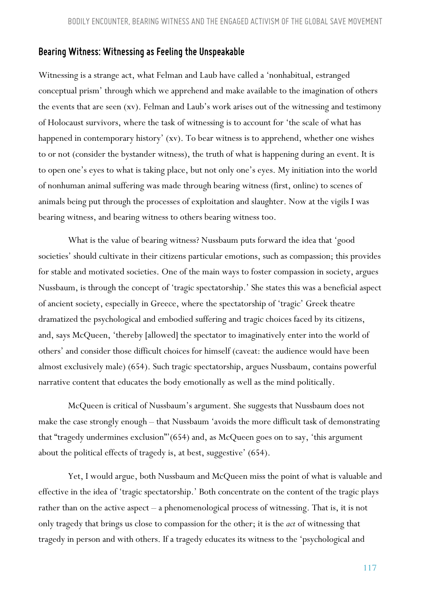#### *Bearing Witness: Witnessing as Feeling the Unspeakable*

Witnessing is a strange act, what Felman and Laub have called a 'nonhabitual, estranged conceptual prism' through which we apprehend and make available to the imagination of others the events that are seen (xv). Felman and Laub's work arises out of the witnessing and testimony of Holocaust survivors, where the task of witnessing is to account for 'the scale of what has happened in contemporary history' (xv). To bear witness is to apprehend, whether one wishes to or not (consider the bystander witness), the truth of what is happening during an event. It is to open one's eyes to what is taking place, but not only one's eyes. My initiation into the world of nonhuman animal suffering was made through bearing witness (first, online) to scenes of animals being put through the processes of exploitation and slaughter. Now at the vigils I was bearing witness, and bearing witness to others bearing witness too.

What is the value of bearing witness? Nussbaum puts forward the idea that 'good societies' should cultivate in their citizens particular emotions, such as compassion; this provides for stable and motivated societies. One of the main ways to foster compassion in society, argues Nussbaum, is through the concept of 'tragic spectatorship.' She states this was a beneficial aspect of ancient society, especially in Greece, where the spectatorship of 'tragic' Greek theatre dramatized the psychological and embodied suffering and tragic choices faced by its citizens, and, says McQueen, 'thereby [allowed] the spectator to imaginatively enter into the world of others' and consider those difficult choices for himself (caveat: the audience would have been almost exclusively male) (654). Such tragic spectatorship, argues Nussbaum, contains powerful narrative content that educates the body emotionally as well as the mind politically.

McQueen is critical of Nussbaum's argument. She suggests that Nussbaum does not make the case strongly enough – that Nussbaum 'avoids the more difficult task of demonstrating that "tragedy undermines exclusion"'(654) and, as McQueen goes on to say, 'this argument about the political effects of tragedy is, at best, suggestive' (654).

Yet, I would argue, both Nussbaum and McQueen miss the point of what is valuable and effective in the idea of 'tragic spectatorship.' Both concentrate on the content of the tragic plays rather than on the active aspect – a phenomenological process of witnessing. That is, it is not only tragedy that brings us close to compassion for the other; it is the *act* of witnessing that tragedy in person and with others. If a tragedy educates its witness to the 'psychological and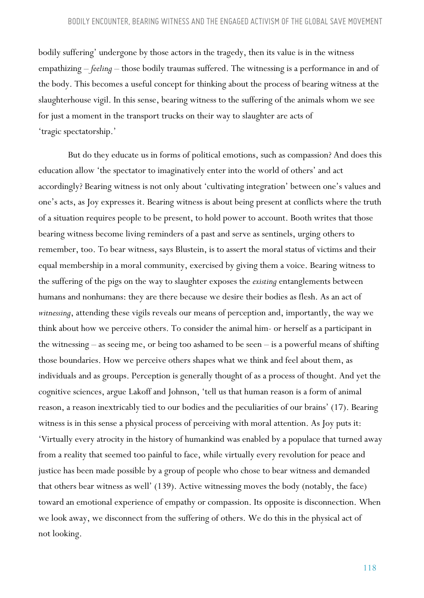bodily suffering' undergone by those actors in the tragedy, then its value is in the witness empathizing – *feeling* – those bodily traumas suffered. The witnessing is a performance in and of the body. This becomes a useful concept for thinking about the process of bearing witness at the slaughterhouse vigil. In this sense, bearing witness to the suffering of the animals whom we see for just a moment in the transport trucks on their way to slaughter are acts of 'tragic spectatorship.'

But do they educate us in forms of political emotions, such as compassion? And does this education allow 'the spectator to imaginatively enter into the world of others' and act accordingly? Bearing witness is not only about 'cultivating integration' between one's values and one's acts, as Joy expresses it. Bearing witness is about being present at conflicts where the truth of a situation requires people to be present, to hold power to account. Booth writes that those bearing witness become living reminders of a past and serve as sentinels, urging others to remember, too. To bear witness, says Blustein, is to assert the moral status of victims and their equal membership in a moral community, exercised by giving them a voice. Bearing witness to the suffering of the pigs on the way to slaughter exposes the *existing* entanglements between humans and nonhumans: they are there because we desire their bodies as flesh. As an act of *witnessing*, attending these vigils reveals our means of perception and, importantly, the way we think about how we perceive others. To consider the animal him- or herself as a participant in the witnessing – as seeing me, or being too ashamed to be seen – is a powerful means of shifting those boundaries. How we perceive others shapes what we think and feel about them, as individuals and as groups. Perception is generally thought of as a process of thought. And yet the cognitive sciences, argue Lakoff and Johnson, 'tell us that human reason is a form of animal reason, a reason inextricably tied to our bodies and the peculiarities of our brains' (17). Bearing witness is in this sense a physical process of perceiving with moral attention. As Joy puts it: 'Virtually every atrocity in the history of humankind was enabled by a populace that turned away from a reality that seemed too painful to face, while virtually every revolution for peace and justice has been made possible by a group of people who chose to bear witness and demanded that others bear witness as well' (139). Active witnessing moves the body (notably, the face) toward an emotional experience of empathy or compassion. Its opposite is disconnection. When we look away, we disconnect from the suffering of others. We do this in the physical act of not looking.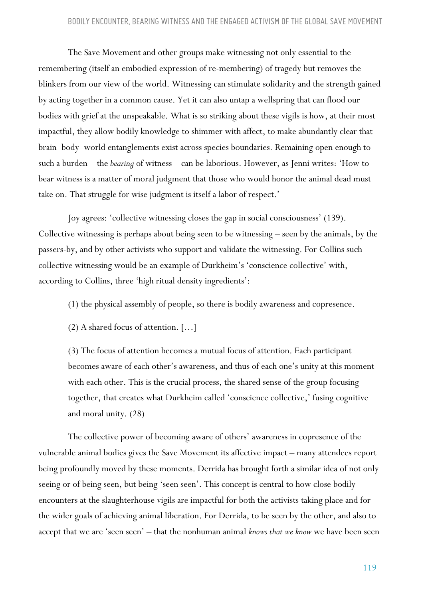The Save Movement and other groups make witnessing not only essential to the remembering (itself an embodied expression of re-membering) of tragedy but removes the blinkers from our view of the world. Witnessing can stimulate solidarity and the strength gained by acting together in a common cause. Yet it can also untap a wellspring that can flood our bodies with grief at the unspeakable. What is so striking about these vigils is how, at their most impactful, they allow bodily knowledge to shimmer with affect, to make abundantly clear that brain–body–world entanglements exist across species boundaries. Remaining open enough to such a burden – the *bearing* of witness – can be laborious. However, as Jenni writes: 'How to bear witness is a matter of moral judgment that those who would honor the animal dead must take on. That struggle for wise judgment is itself a labor of respect.'

Joy agrees: 'collective witnessing closes the gap in social consciousness' (139). Collective witnessing is perhaps about being seen to be witnessing – seen by the animals, by the passers-by, and by other activists who support and validate the witnessing. For Collins such collective witnessing would be an example of Durkheim's 'conscience collective' with, according to Collins, three 'high ritual density ingredients':

(1) the physical assembly of people, so there is bodily awareness and copresence.

(2) A shared focus of attention. […]

(3) The focus of attention becomes a mutual focus of attention. Each participant becomes aware of each other's awareness, and thus of each one's unity at this moment with each other. This is the crucial process, the shared sense of the group focusing together, that creates what Durkheim called 'conscience collective,' fusing cognitive and moral unity. (28)

The collective power of becoming aware of others' awareness in copresence of the vulnerable animal bodies gives the Save Movement its affective impact – many attendees report being profoundly moved by these moments. Derrida has brought forth a similar idea of not only seeing or of being seen, but being 'seen seen'. This concept is central to how close bodily encounters at the slaughterhouse vigils are impactful for both the activists taking place and for the wider goals of achieving animal liberation. For Derrida, to be seen by the other, and also to accept that we are 'seen seen' – that the nonhuman animal *knows that we know* we have been seen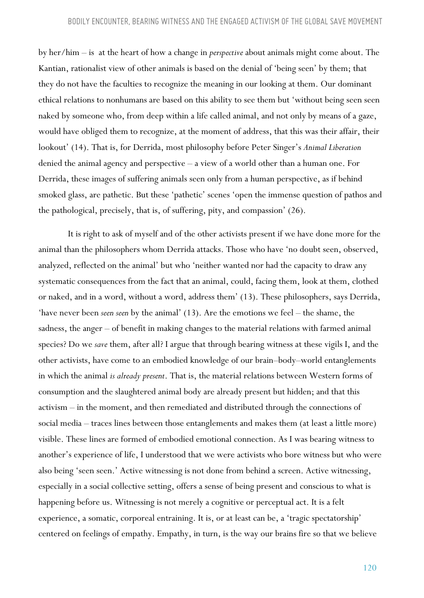by her/him – is at the heart of how a change in *perspective* about animals might come about. The Kantian, rationalist view of other animals is based on the denial of 'being seen' by them; that they do not have the faculties to recognize the meaning in our looking at them. Our dominant ethical relations to nonhumans are based on this ability to see them but 'without being seen seen naked by someone who, from deep within a life called animal, and not only by means of a gaze, would have obliged them to recognize, at the moment of address, that this was their affair, their lookout' (14). That is, for Derrida, most philosophy before Peter Singer's *Animal Liberation* denied the animal agency and perspective – a view of a world other than a human one. For Derrida, these images of suffering animals seen only from a human perspective, as if behind smoked glass, are pathetic. But these 'pathetic' scenes 'open the immense question of pathos and the pathological, precisely, that is, of suffering, pity, and compassion' (26).

It is right to ask of myself and of the other activists present if we have done more for the animal than the philosophers whom Derrida attacks. Those who have 'no doubt seen, observed, analyzed, reflected on the animal' but who 'neither wanted nor had the capacity to draw any systematic consequences from the fact that an animal, could, facing them, look at them, clothed or naked, and in a word, without a word, address them' (13). These philosophers, says Derrida, 'have never been *seen seen* by the animal' (13). Are the emotions we feel – the shame, the sadness, the anger – of benefit in making changes to the material relations with farmed animal species? Do we *save* them, after all? I argue that through bearing witness at these vigils I, and the other activists, have come to an embodied knowledge of our brain–body–world entanglements in which the animal *is already present*. That is, the material relations between Western forms of consumption and the slaughtered animal body are already present but hidden; and that this activism – in the moment, and then remediated and distributed through the connections of social media – traces lines between those entanglements and makes them (at least a little more) visible. These lines are formed of embodied emotional connection. As I was bearing witness to another's experience of life, I understood that we were activists who bore witness but who were also being 'seen seen.' Active witnessing is not done from behind a screen. Active witnessing, especially in a social collective setting, offers a sense of being present and conscious to what is happening before us. Witnessing is not merely a cognitive or perceptual act. It is a felt experience, a somatic, corporeal entraining. It is, or at least can be, a 'tragic spectatorship' centered on feelings of empathy. Empathy, in turn, is the way our brains fire so that we believe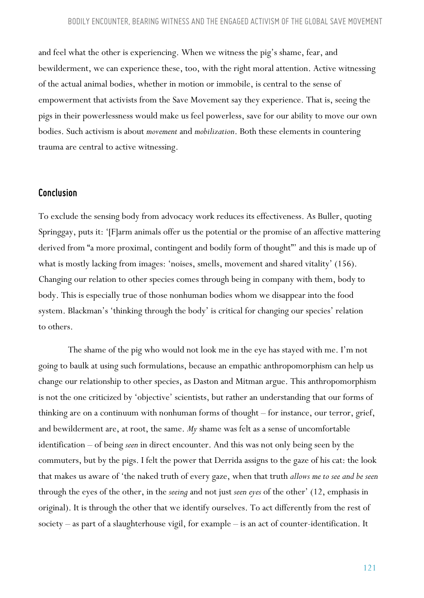and feel what the other is experiencing. When we witness the pig's shame, fear, and bewilderment, we can experience these, too, with the right moral attention. Active witnessing of the actual animal bodies, whether in motion or immobile, is central to the sense of empowerment that activists from the Save Movement say they experience. That is, seeing the pigs in their powerlessness would make us feel powerless, save for our ability to move our own bodies. Such activism is about *movement* and *mobilization*. Both these elements in countering trauma are central to active witnessing.

#### *Conclusion*

To exclude the sensing body from advocacy work reduces its effectiveness. As Buller, quoting Springgay, puts it: '[F]arm animals offer us the potential or the promise of an affective mattering derived from "a more proximal, contingent and bodily form of thought"' and this is made up of what is mostly lacking from images: 'noises, smells, movement and shared vitality' (156). Changing our relation to other species comes through being in company with them, body to body. This is especially true of those nonhuman bodies whom we disappear into the food system. Blackman's 'thinking through the body' is critical for changing our species' relation to others.

The shame of the pig who would not look me in the eye has stayed with me. I'm not going to baulk at using such formulations, because an empathic anthropomorphism can help us change our relationship to other species, as Daston and Mitman argue. This anthropomorphism is not the one criticized by 'objective' scientists, but rather an understanding that our forms of thinking are on a continuum with nonhuman forms of thought – for instance, our terror, grief, and bewilderment are, at root, the same. *My* shame was felt as a sense of uncomfortable identification – of being *seen* in direct encounter. And this was not only being seen by the commuters, but by the pigs. I felt the power that Derrida assigns to the gaze of his cat: the look that makes us aware of 'the naked truth of every gaze, when that truth *allows me to see and be seen*  through the eyes of the other, in the *seeing* and not just *seen eyes* of the other' (12, emphasis in original). It is through the other that we identify ourselves. To act differently from the rest of society – as part of a slaughterhouse vigil, for example – is an act of counter-identification. It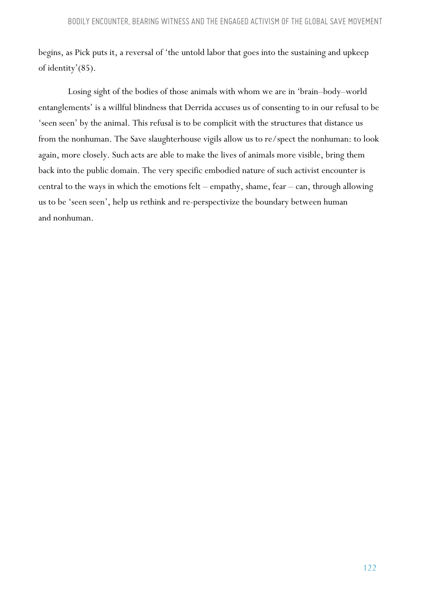begins, as Pick puts it, a reversal of 'the untold labor that goes into the sustaining and upkeep of identity'(85).

Losing sight of the bodies of those animals with whom we are in 'brain–body–world entanglements' is a willful blindness that Derrida accuses us of consenting to in our refusal to be 'seen seen' by the animal. This refusal is to be complicit with the structures that distance us from the nonhuman. The Save slaughterhouse vigils allow us to re/spect the nonhuman: to look again, more closely. Such acts are able to make the lives of animals more visible, bring them back into the public domain. The very specific embodied nature of such activist encounter is central to the ways in which the emotions felt – empathy, shame, fear – can, through allowing us to be 'seen seen', help us rethink and re-perspectivize the boundary between human and nonhuman.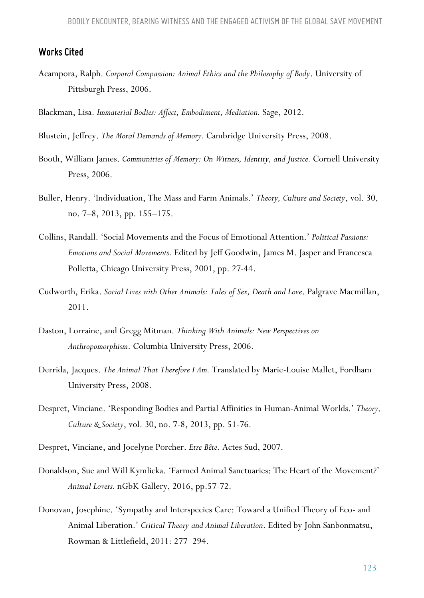#### *Works Cited*

- Acampora, Ralph. *Corporal Compassion: Animal Ethics and the Philosophy of Body*. University of Pittsburgh Press, 2006.
- Blackman, Lisa. *Immaterial Bodies: Affect, Embodiment, Mediation.* Sage, 2012.
- Blustein, Jeffrey. *The Moral Demands of Memory.* Cambridge University Press, 2008.
- Booth, William James. *Communities of Memory: On Witness, Identity, and Justice.* Cornell University Press, 2006.
- Buller, Henry. 'Individuation, The Mass and Farm Animals.' *Theory, Culture and Society*, vol. 30, no. 7–8, 2013, pp. 155–175.
- Collins, Randall. 'Social Movements and the Focus of Emotional Attention.' *Political Passions: Emotions and Social Movements.* Edited by Jeff Goodwin, James M. Jasper and Francesca Polletta, Chicago University Press, 2001, pp. 27-44.
- Cudworth, Erika. *Social Lives with Other Animals: Tales of Sex, Death and Love*. Palgrave Macmillan, 2011.
- Daston, Lorraine, and Gregg Mitman. *Thinking With Animals: New Perspectives on Anthropomorphism*. Columbia University Press, 2006.
- Derrida, Jacques. *The Animal That Therefore I Am.* Translated by Marie-Louise Mallet, Fordham University Press, 2008.
- Despret, Vinciane. 'Responding Bodies and Partial Affinities in Human-Animal Worlds.' *Theory, Culture & Society*, vol. 30, no. 7-8, 2013, pp. 51-76.
- Despret, Vinciane, and Jocelyne Porcher. *Etre Bête*. Actes Sud, 2007.
- Donaldson, Sue and Will Kymlicka. 'Farmed Animal Sanctuaries: The Heart of the Movement?' *Animal Lovers.* nGbK Gallery, 2016, pp.57-72.
- Donovan, Josephine. 'Sympathy and Interspecies Care: Toward a Unified Theory of Eco- and Animal Liberation.' *Critical Theory and Animal Liberation*. Edited by John Sanbonmatsu, Rowman & Littlefield, 2011: 277–294.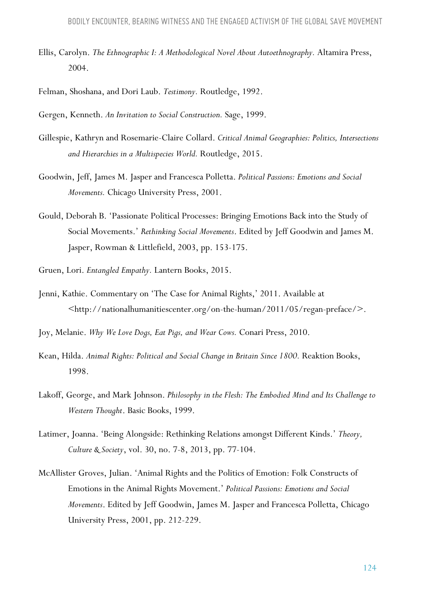- Ellis, Carolyn. *The Ethnographic I: A Methodological Novel About Autoethnography.* Altamira Press, 2004.
- Felman, Shoshana, and Dori Laub. *Testimony.* Routledge, 1992.

Gergen, Kenneth. *An Invitation to Social Construction.* Sage, 1999.

- Gillespie, Kathryn and Rosemarie-Claire Collard. *Critical Animal Geographies: Politics, Intersections and Hierarchies in a Multispecies World.* Routledge, 2015.
- Goodwin, Jeff, James M. Jasper and Francesca Polletta. *Political Passions: Emotions and Social Movements.* Chicago University Press, 2001.
- Gould, Deborah B. 'Passionate Political Processes: Bringing Emotions Back into the Study of Social Movements.' *Rethinking Social Movements*. Edited by Jeff Goodwin and James M. Jasper, Rowman & Littlefield, 2003, pp. 153-175.
- Gruen, Lori. *Entangled Empathy.* Lantern Books, 2015.
- Jenni, Kathie. Commentary on 'The Case for Animal Rights,' 2011. Available at <http://nationalhumanitiescenter.org/on-the-human/2011/05/regan-preface/>.
- Joy, Melanie. *Why We Love Dogs, Eat Pigs, and Wear Cows.* Conari Press, 2010.
- Kean, Hilda. *Animal Rights: Political and Social Change in Britain Since 1800.* Reaktion Books, 1998.
- Lakoff, George, and Mark Johnson. *Philosophy in the Flesh: The Embodied Mind and Its Challenge to Western Thought*. Basic Books, 1999.
- Latimer, Joanna. 'Being Alongside: Rethinking Relations amongst Different Kinds.' *Theory, Culture & Society*, vol. 30, no. 7-8, 2013, pp. 77-104.
- McAllister Groves, Julian. 'Animal Rights and the Politics of Emotion: Folk Constructs of Emotions in the Animal Rights Movement.' *Political Passions: Emotions and Social Movements*. Edited by Jeff Goodwin, James M. Jasper and Francesca Polletta, Chicago University Press, 2001, pp. 212-229.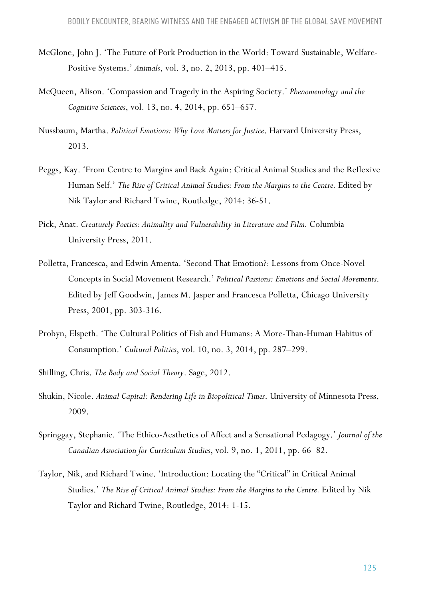- McGlone, John J. 'The Future of Pork Production in the World: Toward Sustainable, Welfare-Positive Systems.' *Animals*, vol. 3, no. 2, 2013, pp. 401–415.
- McQueen, Alison. 'Compassion and Tragedy in the Aspiring Society.' *Phenomenology and the Cognitive Sciences*, vol. 13, no. 4, 2014, pp. 651–657.
- Nussbaum, Martha. *Political Emotions: Why Love Matters for Justice*. Harvard University Press, 2013.
- Peggs, Kay. 'From Centre to Margins and Back Again: Critical Animal Studies and the Reflexive Human Self.' *The Rise of Critical Animal Studies: From the Margins to the Centre. Edited by* Nik Taylor and Richard Twine, Routledge, 2014: 36-51.
- Pick, Anat. *Creaturely Poetics: Animality and Vulnerability in Literature and Film.* Columbia University Press, 2011.
- Polletta, Francesca, and Edwin Amenta. 'Second That Emotion?: Lessons from Once-Novel Concepts in Social Movement Research.' *Political Passions: Emotions and Social Movements*. Edited by Jeff Goodwin, James M. Jasper and Francesca Polletta, Chicago University Press, 2001, pp. 303-316.
- Probyn, Elspeth. 'The Cultural Politics of Fish and Humans: A More-Than-Human Habitus of Consumption.' *Cultural Politics*, vol. 10, no. 3, 2014, pp. 287–299.
- Shilling, Chris. *The Body and Social Theory*. Sage, 2012.
- Shukin, Nicole. *Animal Capital: Rendering Life in Biopolitical Times*. University of Minnesota Press, 2009.
- Springgay, Stephanie. 'The Ethico-Aesthetics of Affect and a Sensational Pedagogy.' *Journal of the Canadian Association for Curriculum Studies*, vol. 9, no. 1, 2011, pp. 66–82.
- Taylor, Nik, and Richard Twine. 'Introduction: Locating the "Critical" in Critical Animal Studies.' *The Rise of Critical Animal Studies: From the Margins to the Centre. Edited by Nik* Taylor and Richard Twine, Routledge, 2014: 1-15.